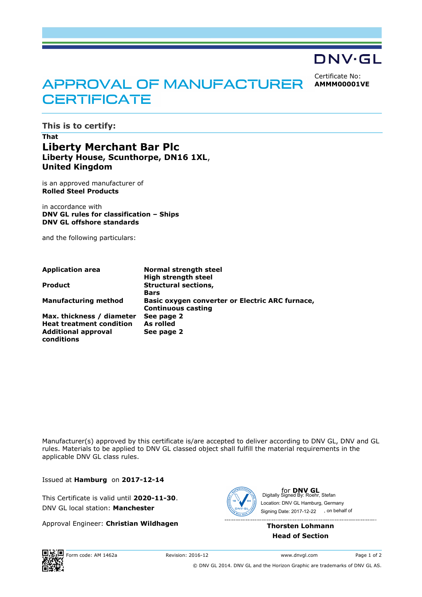## DNV·GL

Certificate No: **AMMM00001VE**

# **APPROVAL OF MANUFACTURER CERTIFICATE**

**This is to certify:**

## **That Liberty Merchant Bar Plc Liberty House, Scunthorpe, DN16 1XL**, **United Kingdom**

is an approved manufacturer of **Rolled Steel Products**

in accordance with **DNV GL rules for classification – Ships DNV GL offshore standards**

and the following particulars:

| <b>Application area</b>         | Normal strength steel                           |
|---------------------------------|-------------------------------------------------|
|                                 | <b>High strength steel</b>                      |
| <b>Product</b>                  | <b>Structural sections,</b>                     |
|                                 | <b>Bars</b>                                     |
| <b>Manufacturing method</b>     | Basic oxygen converter or Electric ARC furnace, |
|                                 | <b>Continuous casting</b>                       |
| Max. thickness / diameter       | See page 2                                      |
| <b>Heat treatment condition</b> | As rolled                                       |
| <b>Additional approval</b>      | See page 2                                      |
| conditions                      |                                                 |

Manufacturer(s) approved by this certificate is/are accepted to deliver according to DNV GL, DNV and GL rules. Materials to be applied to DNV GL classed object shall fulfill the material requirements in the applicable DNV GL class rules.

Issued at **Hamburg** on **2017-12-14**

This Certificate is valid until **2020-11-30**. DNV GL local station: **Manchester**

Approval Engineer: **Christian Wildhagen**



for **DNV GL** Digitally Signed By: Roehr, Stefan Signing Date: 2017-12-22 , on behalf ofLocation: DNV GL Hamburg, Germany

**Thorsten Lohmann Head of Section**



© DNV GL 2014. DNV GL and the Horizon Graphic are trademarks of DNV GL AS.